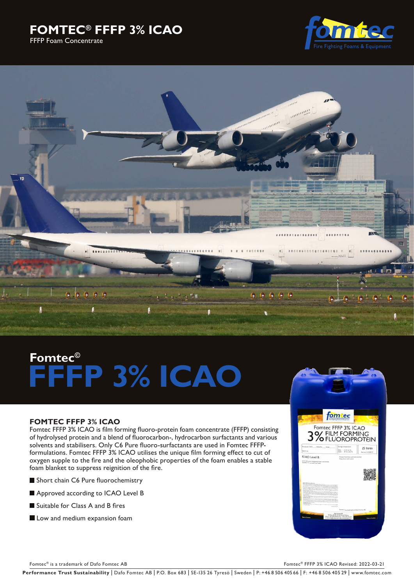# **FOMTEC® FFFP 3% ICAO**  FFFP Foam Concentrate





# **Fomtec© FFFP 3% ICAO**

# **FOMTEC FFFP 3% ICAO**

Fomtec FFFP 3% ICAO is film forming fluoro-protein foam concentrate (FFFP) consisting of hydrolysed protein and a blend of fluorocarbon-, hydrocarbon surfactants and various solvents and stabilisers. Only C6 Pure fluoro-surfactants are used in Fomtec FFFPformulations. Fomtec FFFP 3% ICAO utilises the unique film forming effect to cut of oxygen supple to the fire and the oleophobic properties of the foam enables a stable foam blanket to suppress reignition of the fire.

- Short chain C6 Pure fluorochemistry
- Approved according to ICAO Level B
- Suitable for Class A and B fires
- Low and medium expansion foam



Fomtec® is a trademark of Dafo Fomtec AB Formula and the set of Dafo Formula and the Second AB Formula and Tomber 2002-03-21

Performance Trust Sustainability | Dafo Fomtec AB | P.O. Box 683 | SE-135 26 Tyresö | Sweden | P: +46 8 506 405 66 | F: +46 8 506 405 29 | www.fomtec.com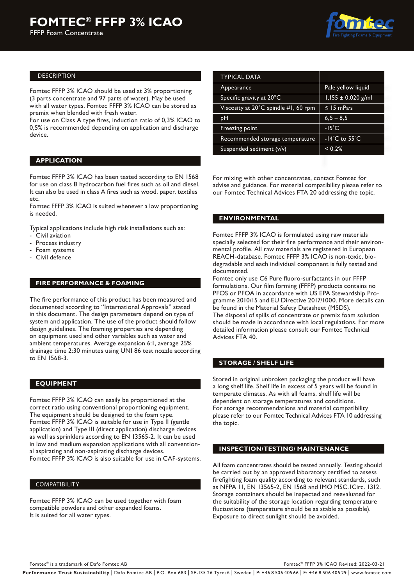FFFP Foam Concentrate



#### DESCRIPTION

Fomtec FFFP 3% ICAO should be used at 3% proportioning (3 parts concentrate and 97 parts of water). May be used with all water types. Fomtec FFFP 3% ICAO can be stored as premix when blended with fresh water.

For use on Class A type fires, induction ratio of 0,3% ICAO to 0,5% is recommended depending on application and discharge device.

#### **APPLICATION**

Fomtec FFFP 3% ICAO has been tested according to EN 1568 for use on class B hydrocarbon fuel fires such as oil and diesel. It can also be used in class A fires such as wood, paper, textiles etc.

Fomtec FFFP 3% ICAO is suited whenever a low proportioning is needed.

Typical applications include high risk installations such as:

- Civil aviation
- Process industry
- Foam systems
- Civil defence

### **FIRE PERFORMANCE & FOAMING**

The fire performance of this product has been measured and documented according to "International Approvals" stated in this document. The design parameters depend on type of system and application. The use of the product should follow design guidelines. The foaming properties are depending on equipment used and other variables such as water and ambient temperatures. Average expansion 6:1, average 25% drainage time 2:30 minutes using UNI 86 test nozzle according to EN 1568-3.

#### **EQUIPMENT**

Fomtec FFFP 3% ICAO can easily be proportioned at the correct ratio using conventional proportioning equipment. The equipment should be designed to the foam type. Fomtec FFFP 3% ICAO is suitable for use in Type II (gentle application) and Type III (direct application) discharge devices as well as sprinklers according to EN 13565-2. It can be used in low and medium expansion applications with all conventional aspirating and non-aspirating discharge devices. Fomtec FFFP 3% ICAO is also suitable for use in CAF-systems.

#### COMPATIBILITY

Fomtec FFFP 3% ICAO can be used together with foam compatible powders and other expanded foams. It is suited for all water types.

| Pale yellow liquid                  |
|-------------------------------------|
| $1,155 \pm 0,020$ g/ml              |
| $\leq$ 15 mPas                      |
| $6,5 - 8,5$                         |
| $-15^{\circ}$ C                     |
| -14 $^{\circ}$ C to 55 $^{\circ}$ C |
| < 0.2%                              |
|                                     |

For mixing with other concentrates, contact Fomtec for advise and guidance. For material compatibility please refer to our Fomtec Technical Advices FTA 20 addressing the topic.

#### **ENVIRONMENTAL**

Fomtec FFFP 3% ICAO is formulated using raw materials specially selected for their fire performance and their environmental profile. All raw materials are registered in European REACH-database. Fomtec FFFP 3% ICAO is non-toxic, biodegradable and each individual component is fully tested and documented.

Fomtec only use C6 Pure fluoro-surfactants in our FFFP formulations. Our film forming (FFFP) products contains no PFOS or PFOA in accordance with US EPA Stewardship Programme 2010/15 and EU Directive 2017/1000. More details can be found in the Material Safety Datasheet (MSDS). The disposal of spills of concentrate or premix foam solution should be made in accordance with local regulations. For more detailed information please consult our Fomtec Technical Advices FTA 40.

#### **STORAGE / SHELF LIFE**

Stored in original unbroken packaging the product will have a long shelf life. Shelf life in excess of 5 years will be found in temperate climates. As with all foams, shelf life will be dependent on storage temperatures and conditions. For storage recommendations and material compatibility please refer to our Fomtec Technical Advices FTA 10 addressing the topic.

#### **INSPECTION/TESTING/ MAINTENANCE**

All foam concentrates should be tested annually. Testing should be carried out by an approved laboratory certified to assess firefighting foam quality according to relevant standards, such as NFPA 11, EN 13565-2, EN 1568 and IMO MSC.1Circ. 1312. Storage containers should be inspected and reevaluated for the suitability of the storage location regarding temperature fluctuations (temperature should be as stable as possible). Exposure to direct sunlight should be avoided.

Fomtec® is a trademark of Dafo Fomtec AB For the C® FFFP 3% ICAO Revised: 2022-03-21

Performance Trust Sustainability | Dafo Fomtec AB | P.O. Box 683 | SE-135 26 Tyresö | Sweden | P: +46 8 506 405 66 | F: +46 8 506 405 29 | www.fomtec.com